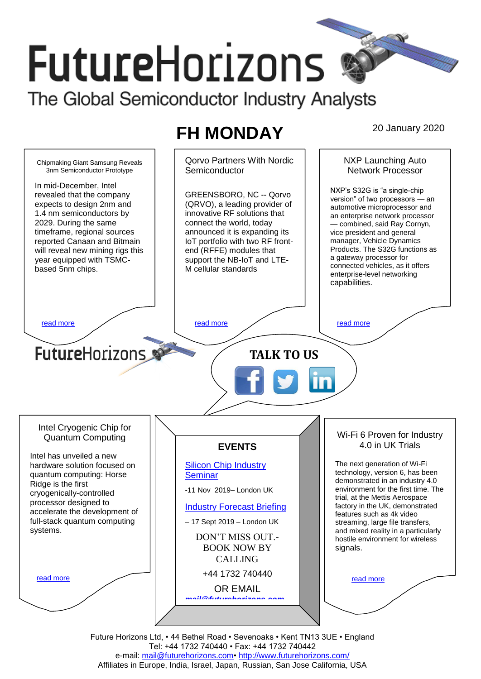# **FutureHorizons** The Global Semiconductor Industry Analysts

# **FH MONDAY** 20 January 2020

Qorvo Partners With Nordic NXP Launching Auto Chipmaking Giant Samsung Reveals **Semiconductor** Network Processor 3nm Semiconductor Prototype In mid-December, Intel NXP's S32G is "a single-chip GREENSBORO, NC -- Qorvo revealed that the company version" of two processors — an expects to design 2nm and (QRVO), a leading provider of automotive microprocessor and 1.4 nm semiconductors by innovative RF solutions that an enterprise network processor 2029. During the same connect the world, today — combined, said Ray Cornyn, timeframe, regional sources announced it is expanding its vice president and general manager, Vehicle Dynamics IoT portfolio with two RF frontreported Canaan and Bitmain Products. The S32G functions as will reveal new mining rigs this end (RFFE) modules that a gateway processor for year equipped with TSMCsupport the NB-IoT and LTEconnected vehicles, as it offers based 5nm chips. M cellular standards enterprise-level networking capabilities. [read more](#page-1-1) that the second contract the second contract of the read more that the read more that the read more **Future**Horizons **TALK TO US** Intel Cryogenic Chip for Wi-Fi 6 Proven for Industry Quantum Computing 4.0 in UK Trials **EVENTS** Intel has unveiled a new hardware solution focused on [Silicon Chip Industry](http://www.futurehorizons.com/page/12/silicon-chip-training)  The next generation of Wi-Fi technology, version 6, has been **[Seminar](http://www.futurehorizons.com/page/12/silicon-chip-training)** quantum computing: Horse demonstrated in an industry 4.0 Ridge is the first environment for the first time. The -11 Nov 2019– London UK cryogenically-controlled trial, at the Mettis Aerospace processor designed to factory in the UK, demonstrated [Industry Forecast Briefing](http://www.futurehorizons.com/page/13/Semiconductor-Market-Forecast-Seminar) accelerate the development of features such as 4k video full-stack quantum computing – 17 Sept 2019 – London UK streaming, large file transfers, systems.and mixed reality in a particularly DON'T MISS OUT. hostile environment for wireless BOOK NOW BY signals. CALLING +44 1732 740440 [read more](#page-1-3) [read more](#page-1-4) OR EMAIL *[mail@futurehorizons.com](mailto:mail@futurehorizons.com)*

> Future Horizons Ltd, • 44 Bethel Road • Sevenoaks • Kent TN13 3UE • England Tel: +44 1732 740440 • Fax: +44 1732 740442 e-mail: mail@futurehorizons.com• http://www.futurehorizons.com/ Affiliates in Europe, India, Israel, Japan, Russian, San Jose California, USA